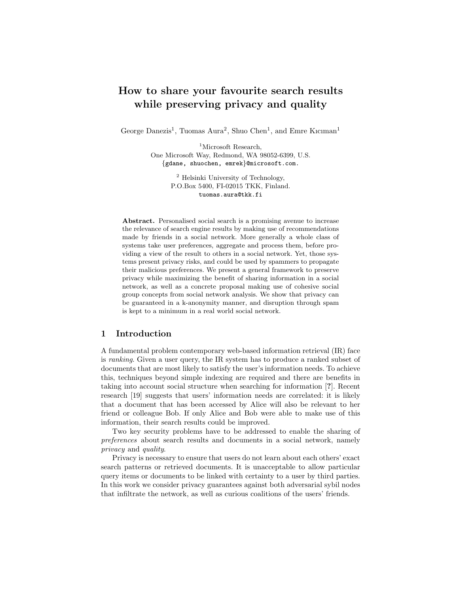# How to share your favourite search results while preserving privacy and quality

George Danezis<sup>1</sup>, Tuomas Aura<sup>2</sup>, Shuo Chen<sup>1</sup>, and Emre Kiciman<sup>1</sup>

<sup>1</sup>Microsoft Research, One Microsoft Way, Redmond, WA 98052-6399, U.S. {gdane, shuochen, emrek}@microsoft.com.

> <sup>2</sup> Helsinki University of Technology, P.O.Box 5400, FI-02015 TKK, Finland. tuomas.aura@tkk.fi

Abstract. Personalised social search is a promising avenue to increase the relevance of search engine results by making use of recommendations made by friends in a social network. More generally a whole class of systems take user preferences, aggregate and process them, before providing a view of the result to others in a social network. Yet, those systems present privacy risks, and could be used by spammers to propagate their malicious preferences. We present a general framework to preserve privacy while maximizing the benefit of sharing information in a social network, as well as a concrete proposal making use of cohesive social group concepts from social network analysis. We show that privacy can be guaranteed in a k-anonymity manner, and disruption through spam is kept to a minimum in a real world social network.

## 1 Introduction

A fundamental problem contemporary web-based information retrieval (IR) face is ranking. Given a user query, the IR system has to produce a ranked subset of documents that are most likely to satisfy the user's information needs. To achieve this, techniques beyond simple indexing are required and there are benefits in taking into account social structure when searching for information [?]. Recent research [19] suggests that users' information needs are correlated: it is likely that a document that has been accessed by Alice will also be relevant to her friend or colleague Bob. If only Alice and Bob were able to make use of this information, their search results could be improved.

Two key security problems have to be addressed to enable the sharing of preferences about search results and documents in a social network, namely privacy and quality.

Privacy is necessary to ensure that users do not learn about each others' exact search patterns or retrieved documents. It is unacceptable to allow particular query items or documents to be linked with certainty to a user by third parties. In this work we consider privacy guarantees against both adversarial sybil nodes that infiltrate the network, as well as curious coalitions of the users' friends.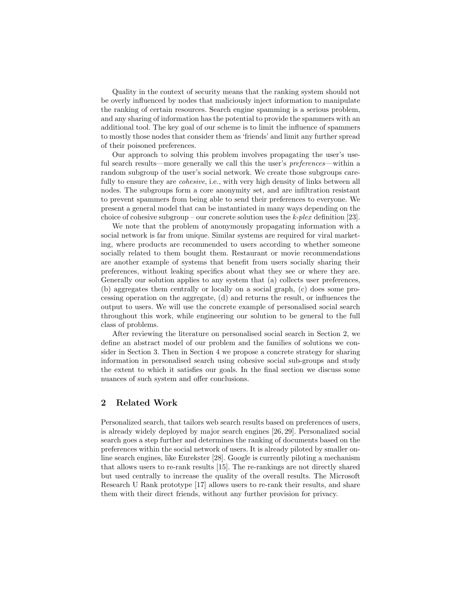Quality in the context of security means that the ranking system should not be overly influenced by nodes that maliciously inject information to manipulate the ranking of certain resources. Search engine spamming is a serious problem, and any sharing of information has the potential to provide the spammers with an additional tool. The key goal of our scheme is to limit the influence of spammers to mostly those nodes that consider them as 'friends' and limit any further spread of their poisoned preferences.

Our approach to solving this problem involves propagating the user's useful search results—more generally we call this the user's preferences—within a random subgroup of the user's social network. We create those subgroups carefully to ensure they are *cohesive*, i.e., with very high density of links between all nodes. The subgroups form a core anonymity set, and are infiltration resistant to prevent spammers from being able to send their preferences to everyone. We present a general model that can be instantiated in many ways depending on the choice of cohesive subgroup – our concrete solution uses the k-plex definition [23].

We note that the problem of anonymously propagating information with a social network is far from unique. Similar systems are required for viral marketing, where products are recommended to users according to whether someone socially related to them bought them. Restaurant or movie recommendations are another example of systems that benefit from users socially sharing their preferences, without leaking specifics about what they see or where they are. Generally our solution applies to any system that (a) collects user preferences, (b) aggregates them centrally or locally on a social graph, (c) does some processing operation on the aggregate, (d) and returns the result, or influences the output to users. We will use the concrete example of personalised social search throughout this work, while engineering our solution to be general to the full class of problems.

After reviewing the literature on personalised social search in Section 2, we define an abstract model of our problem and the families of solutions we consider in Section 3. Then in Section 4 we propose a concrete strategy for sharing information in personalised search using cohesive social sub-groups and study the extent to which it satisfies our goals. In the final section we discuss some nuances of such system and offer conclusions.

## 2 Related Work

Personalized search, that tailors web search results based on preferences of users, is already widely deployed by major search engines [26, 29]. Personalized social search goes a step further and determines the ranking of documents based on the preferences within the social network of users. It is already piloted by smaller online search engines, like Eurekster [28]. Google is currently piloting a mechanism that allows users to re-rank results [15]. The re-rankings are not directly shared but used centrally to increase the quality of the overall results. The Microsoft Research U Rank prototype [17] allows users to re-rank their results, and share them with their direct friends, without any further provision for privacy.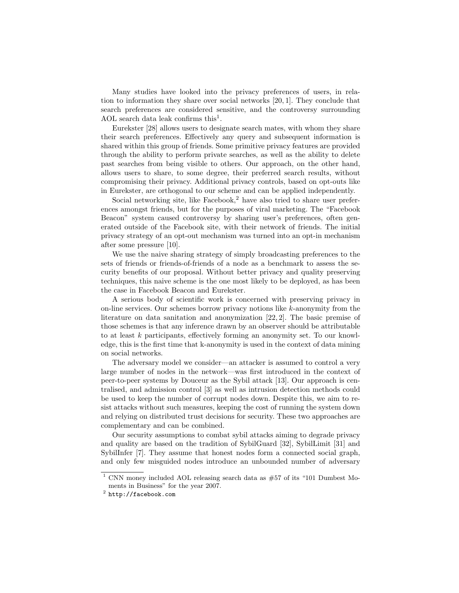Many studies have looked into the privacy preferences of users, in relation to information they share over social networks [20, 1]. They conclude that search preferences are considered sensitive, and the controversy surrounding AOL search data leak confirms this<sup>1</sup>.

Eurekster [28] allows users to designate search mates, with whom they share their search preferences. Effectively any query and subsequent information is shared within this group of friends. Some primitive privacy features are provided through the ability to perform private searches, as well as the ability to delete past searches from being visible to others. Our approach, on the other hand, allows users to share, to some degree, their preferred search results, without compromising their privacy. Additional privacy controls, based on opt-outs like in Eurekster, are orthogonal to our scheme and can be applied independently.

Social networking site, like Facebook,<sup>2</sup> have also tried to share user preferences amongst friends, but for the purposes of viral marketing. The "Facebook Beacon" system caused controversy by sharing user's preferences, often generated outside of the Facebook site, with their network of friends. The initial privacy strategy of an opt-out mechanism was turned into an opt-in mechanism after some pressure [10].

We use the naive sharing strategy of simply broadcasting preferences to the sets of friends or friends-of-friends of a node as a benchmark to assess the security benefits of our proposal. Without better privacy and quality preserving techniques, this naive scheme is the one most likely to be deployed, as has been the case in Facebook Beacon and Eurekster.

A serious body of scientific work is concerned with preserving privacy in on-line services. Our schemes borrow privacy notions like k-anonymity from the literature on data sanitation and anonymization [22, 2]. The basic premise of those schemes is that any inference drawn by an observer should be attributable to at least k participants, effectively forming an anonymity set. To our knowledge, this is the first time that k-anonymity is used in the context of data mining on social networks.

The adversary model we consider—an attacker is assumed to control a very large number of nodes in the network—was first introduced in the context of peer-to-peer systems by Douceur as the Sybil attack [13]. Our approach is centralised, and admission control [3] as well as intrusion detection methods could be used to keep the number of corrupt nodes down. Despite this, we aim to resist attacks without such measures, keeping the cost of running the system down and relying on distributed trust decisions for security. These two approaches are complementary and can be combined.

Our security assumptions to combat sybil attacks aiming to degrade privacy and quality are based on the tradition of SybilGuard [32], SybilLimit [31] and SybilInfer [7]. They assume that honest nodes form a connected social graph, and only few misguided nodes introduce an unbounded number of adversary

 $^1$  CNN money included AOL releasing search data as  $\#57$  of its "101 Dumbest Moments in Business" for the year 2007.

 $^2$  http://facebook.com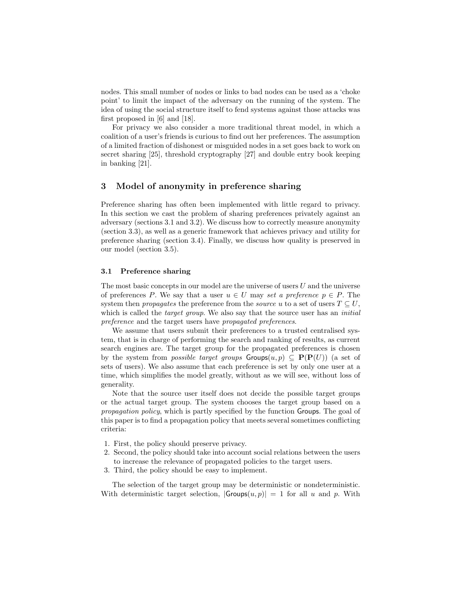nodes. This small number of nodes or links to bad nodes can be used as a 'choke point' to limit the impact of the adversary on the running of the system. The idea of using the social structure itself to fend systems against those attacks was first proposed in [6] and [18].

For privacy we also consider a more traditional threat model, in which a coalition of a user's friends is curious to find out her preferences. The assumption of a limited fraction of dishonest or misguided nodes in a set goes back to work on secret sharing [25], threshold cryptography [27] and double entry book keeping in banking [21].

## 3 Model of anonymity in preference sharing

Preference sharing has often been implemented with little regard to privacy. In this section we cast the problem of sharing preferences privately against an adversary (sections 3.1 and 3.2). We discuss how to correctly measure anonymity (section 3.3), as well as a generic framework that achieves privacy and utility for preference sharing (section 3.4). Finally, we discuss how quality is preserved in our model (section 3.5).

## 3.1 Preference sharing

The most basic concepts in our model are the universe of users  $U$  and the universe of preferences P. We say that a user  $u \in U$  may set a preference  $p \in P$ . The system then *propagates* the preference from the *source* u to a set of users  $T \subseteq U$ , which is called the *target group*. We also say that the source user has an *initial* preference and the target users have propagated preferences.

We assume that users submit their preferences to a trusted centralised system, that is in charge of performing the search and ranking of results, as current search engines are. The target group for the propagated preferences is chosen by the system from *possible target groups*  $Groups(u, p) \subseteq \mathbf{P}(\mathbf{P}(U))$  (a set of sets of users). We also assume that each preference is set by only one user at a time, which simplifies the model greatly, without as we will see, without loss of generality.

Note that the source user itself does not decide the possible target groups or the actual target group. The system chooses the target group based on a propagation policy, which is partly specified by the function Groups. The goal of this paper is to find a propagation policy that meets several sometimes conflicting criteria:

- 1. First, the policy should preserve privacy.
- 2. Second, the policy should take into account social relations between the users to increase the relevance of propagated policies to the target users.
- 3. Third, the policy should be easy to implement.

The selection of the target group may be deterministic or nondeterministic. With deterministic target selection,  $|\mathsf{Groups}(u,p)| = 1$  for all u and p. With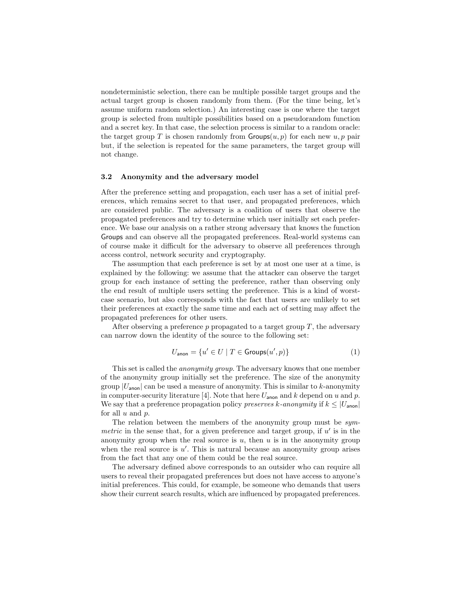nondeterministic selection, there can be multiple possible target groups and the actual target group is chosen randomly from them. (For the time being, let's assume uniform random selection.) An interesting case is one where the target group is selected from multiple possibilities based on a pseudorandom function and a secret key. In that case, the selection process is similar to a random oracle: the target group T is chosen randomly from  $Groups(u, p)$  for each new  $u, p$  pair but, if the selection is repeated for the same parameters, the target group will not change.

## 3.2 Anonymity and the adversary model

After the preference setting and propagation, each user has a set of initial preferences, which remains secret to that user, and propagated preferences, which are considered public. The adversary is a coalition of users that observe the propagated preferences and try to determine which user initially set each preference. We base our analysis on a rather strong adversary that knows the function Groups and can observe all the propagated preferences. Real-world systems can of course make it difficult for the adversary to observe all preferences through access control, network security and cryptography.

The assumption that each preference is set by at most one user at a time, is explained by the following: we assume that the attacker can observe the target group for each instance of setting the preference, rather than observing only the end result of multiple users setting the preference. This is a kind of worstcase scenario, but also corresponds with the fact that users are unlikely to set their preferences at exactly the same time and each act of setting may affect the propagated preferences for other users.

After observing a preference p propagated to a target group  $T$ , the adversary can narrow down the identity of the source to the following set:

$$
U_{\text{anon}} = \{ u' \in U \mid T \in \text{Groups}(u', p) \} \tag{1}
$$

This set is called the anonymity group. The adversary knows that one member of the anonymity group initially set the preference. The size of the anonymity group  $|U_{\text{anon}}|$  can be used a measure of anonymity. This is similar to k-anonymity in computer-security literature [4]. Note that here  $U_{\text{anon}}$  and k depend on u and p. We say that a preference propagation policy preserves k-anonymity if  $k \leq |U_{\text{anon}}|$ for all  $u$  and  $p$ .

The relation between the members of the anonymity group must be *sym*metric in the sense that, for a given preference and target group, if  $u'$  is in the anonymity group when the real source is  $u$ , then  $u$  is in the anonymity group when the real source is  $u'$ . This is natural because an anonymity group arises from the fact that any one of them could be the real source.

The adversary defined above corresponds to an outsider who can require all users to reveal their propagated preferences but does not have access to anyone's initial preferences. This could, for example, be someone who demands that users show their current search results, which are influenced by propagated preferences.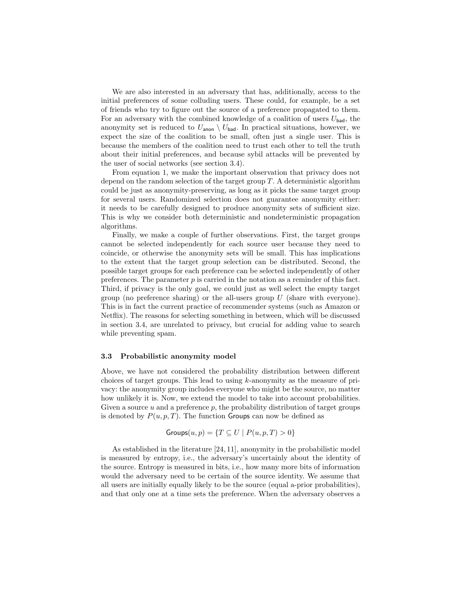We are also interested in an adversary that has, additionally, access to the initial preferences of some colluding users. These could, for example, be a set of friends who try to figure out the source of a preference propagated to them. For an adversary with the combined knowledge of a coalition of users  $U_{bad}$ , the anonymity set is reduced to  $U_{\text{anon}} \setminus U_{\text{bad}}$ . In practical situations, however, we expect the size of the coalition to be small, often just a single user. This is because the members of the coalition need to trust each other to tell the truth about their initial preferences, and because sybil attacks will be prevented by the user of social networks (see section 3.4).

From equation 1, we make the important observation that privacy does not depend on the random selection of the target group  $T$ . A deterministic algorithm could be just as anonymity-preserving, as long as it picks the same target group for several users. Randomized selection does not guarantee anonymity either: it needs to be carefully designed to produce anonymity sets of sufficient size. This is why we consider both deterministic and nondeterministic propagation algorithms.

Finally, we make a couple of further observations. First, the target groups cannot be selected independently for each source user because they need to coincide, or otherwise the anonymity sets will be small. This has implications to the extent that the target group selection can be distributed. Second, the possible target groups for each preference can be selected independently of other preferences. The parameter  $p$  is carried in the notation as a reminder of this fact. Third, if privacy is the only goal, we could just as well select the empty target group (no preference sharing) or the all-users group  $U$  (share with everyone). This is in fact the current practice of recommender systems (such as Amazon or Netflix). The reasons for selecting something in between, which will be discussed in section 3.4, are unrelated to privacy, but crucial for adding value to search while preventing spam.

#### 3.3 Probabilistic anonymity model

Above, we have not considered the probability distribution between different choices of target groups. This lead to using  $k$ -anonymity as the measure of privacy: the anonymity group includes everyone who might be the source, no matter how unlikely it is. Now, we extend the model to take into account probabilities. Given a source  $u$  and a preference  $p$ , the probability distribution of target groups is denoted by  $P(u, p, T)$ . The function Groups can now be defined as

$$
Groups(u,p) = \{T \subseteq U \mid P(u,p,T) > 0\}
$$

As established in the literature [24, 11], anonymity in the probabilistic model is measured by entropy, i.e., the adversary's uncertainly about the identity of the source. Entropy is measured in bits, i.e., how many more bits of information would the adversary need to be certain of the source identity. We assume that all users are initially equally likely to be the source (equal a-prior probabilities), and that only one at a time sets the preference. When the adversary observes a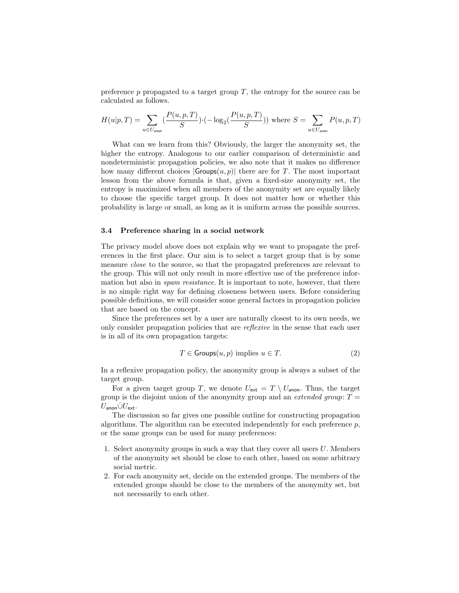preference  $p$  propagated to a target group  $T$ , the entropy for the source can be calculated as follows.

$$
H(u|p,T) = \sum_{u \in U_{\text{anon}}} \left(\frac{P(u,p,T)}{S}\right) \cdot \left(-\log_2\left(\frac{P(u,p,T)}{S}\right)\right) \text{ where } S = \sum_{u \in U_{\text{anon}}} P(u,p,T)
$$

What can we learn from this? Obviously, the larger the anonymity set, the higher the entropy. Analogous to our earlier comparison of deterministic and nondeterministic propagation policies, we also note that it makes no difference how many different choices  $|G_{\text{rough}}(u, p)|$  there are for T. The most important lesson from the above formula is that, given a fixed-size anonymity set, the entropy is maximized when all members of the anonymity set are equally likely to choose the specific target group. It does not matter how or whether this probability is large or small, as long as it is uniform across the possible sources.

#### 3.4 Preference sharing in a social network

The privacy model above does not explain why we want to propagate the preferences in the first place. Our aim is to select a target group that is by some measure close to the source, so that the propagated preferences are relevant to the group. This will not only result in more effective use of the preference information but also in *spam resistance*. It is important to note, however, that there is no simple right way for defining closeness between users. Before considering possible definitions, we will consider some general factors in propagation policies that are based on the concept.

Since the preferences set by a user are naturally closest to its own needs, we only consider propagation policies that are *reflexive* in the sense that each user is in all of its own propagation targets:

$$
T \in \text{Groups}(u, p) \text{ implies } u \in T. \tag{2}
$$

In a reflexive propagation policy, the anonymity group is always a subset of the target group.

For a given target group T, we denote  $U_{ext} = T \setminus U_{\text{anon}}$ . Thus, the target group is the disjoint union of the anonymity group and an *extended group*:  $T =$  $U_{\text{anon}} \dot{\cup} U_{\text{ext}}$ .

The discussion so far gives one possible outline for constructing propagation algorithms. The algorithm can be executed independently for each preference  $p$ , or the same groups can be used for many preferences:

- 1. Select anonymity groups in such a way that they cover all users  $U$ . Members of the anonymity set should be close to each other, based on some arbitrary social metric.
- 2. For each anonymity set, decide on the extended groups. The members of the extended groups should be close to the members of the anonymity set, but not necessarily to each other.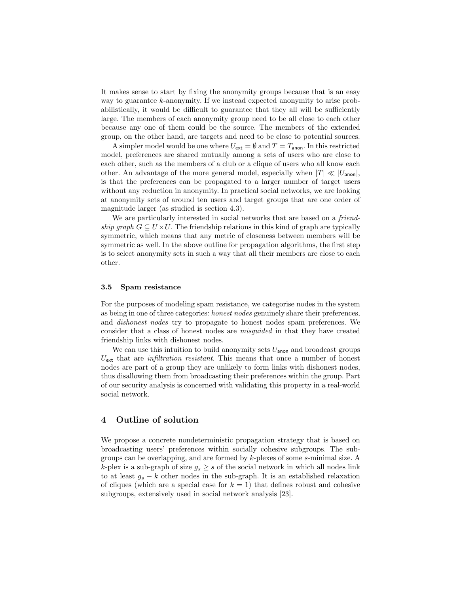It makes sense to start by fixing the anonymity groups because that is an easy way to guarantee k-anonymity. If we instead expected anonymity to arise probabilistically, it would be difficult to guarantee that they all will be sufficiently large. The members of each anonymity group need to be all close to each other because any one of them could be the source. The members of the extended group, on the other hand, are targets and need to be close to potential sources.

A simpler model would be one where  $U_{\text{ext}} = \emptyset$  and  $T = T_{\text{anon}}$ . In this restricted model, preferences are shared mutually among a sets of users who are close to each other, such as the members of a club or a clique of users who all know each other. An advantage of the more general model, especially when  $|T| \ll |U_{\text{anon}}|$ , is that the preferences can be propagated to a larger number of target users without any reduction in anonymity. In practical social networks, we are looking at anonymity sets of around ten users and target groups that are one order of magnitude larger (as studied is section 4.3).

We are particularly interested in social networks that are based on a *friend*ship graph  $G \subseteq U \times U$ . The friendship relations in this kind of graph are typically symmetric, which means that any metric of closeness between members will be symmetric as well. In the above outline for propagation algorithms, the first step is to select anonymity sets in such a way that all their members are close to each other.

#### 3.5 Spam resistance

For the purposes of modeling spam resistance, we categorise nodes in the system as being in one of three categories: honest nodes genuinely share their preferences, and dishonest nodes try to propagate to honest nodes spam preferences. We consider that a class of honest nodes are misguided in that they have created friendship links with dishonest nodes.

We can use this intuition to build anonymity sets  $U_{\text{anon}}$  and broadcast groups  $U_{\text{ext}}$  that are *infiltration resistant*. This means that once a number of honest nodes are part of a group they are unlikely to form links with dishonest nodes, thus disallowing them from broadcasting their preferences within the group. Part of our security analysis is concerned with validating this property in a real-world social network.

## 4 Outline of solution

We propose a concrete nondeterministic propagation strategy that is based on broadcasting users' preferences within socially cohesive subgroups. The subgroups can be overlapping, and are formed by k-plexes of some s-minimal size. A k-plex is a sub-graph of size  $g_s \geq s$  of the social network in which all nodes link to at least  $g_s - k$  other nodes in the sub-graph. It is an established relaxation of cliques (which are a special case for  $k = 1$ ) that defines robust and cohesive subgroups, extensively used in social network analysis [23].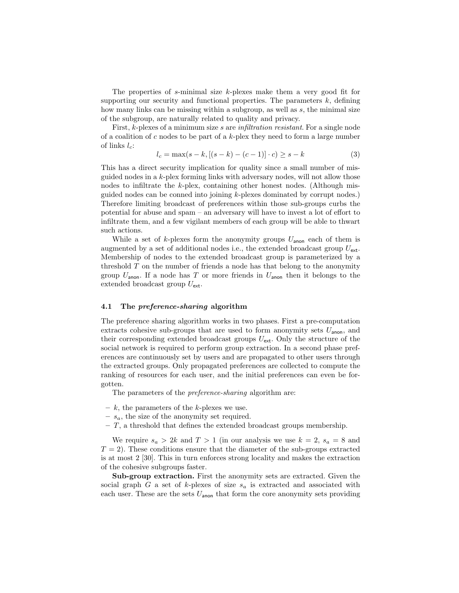The properties of s-minimal size k-plexes make them a very good fit for supporting our security and functional properties. The parameters  $k$ , defining how many links can be missing within a subgroup, as well as s, the minimal size of the subgroup, are naturally related to quality and privacy.

First, k-plexes of a minimum size s are infiltration resistant. For a single node of a coalition of c nodes to be part of a  $k$ -plex they need to form a large number of links  $l_c$ :

$$
l_c = \max(s - k, [(s - k) - (c - 1)] \cdot c) \ge s - k \tag{3}
$$

This has a direct security implication for quality since a small number of misguided nodes in a k-plex forming links with adversary nodes, will not allow those nodes to infiltrate the k-plex, containing other honest nodes. (Although misguided nodes can be conned into joining k-plexes dominated by corrupt nodes.) Therefore limiting broadcast of preferences within those sub-groups curbs the potential for abuse and spam – an adversary will have to invest a lot of effort to infiltrate them, and a few vigilant members of each group will be able to thwart such actions.

While a set of k-plexes form the anonymity groups  $U_{\text{anon}}$  each of them is augmented by a set of additional nodes i.e., the extended broadcast group  $U_{\text{ext}}$ . Membership of nodes to the extended broadcast group is parameterized by a threshold  $T$  on the number of friends a node has that belong to the anonymity group  $U_{\text{anon}}$ . If a node has T or more friends in  $U_{\text{anon}}$  then it belongs to the extended broadcast group  $U_{\text{ext}}$ .

## 4.1 The preference-sharing algorithm

The preference sharing algorithm works in two phases. First a pre-computation extracts cohesive sub-groups that are used to form anonymity sets  $U_{\text{anon}}$ , and their corresponding extended broadcast groups  $U_{ext}$ . Only the structure of the social network is required to perform group extraction. In a second phase preferences are continuously set by users and are propagated to other users through the extracted groups. Only propagated preferences are collected to compute the ranking of resources for each user, and the initial preferences can even be forgotten.

The parameters of the *preference-sharing* algorithm are:

- $k$ , the parameters of the  $k$ -plexes we use.
- $-s_a$ , the size of the anonymity set required.
- $-$  T, a threshold that defines the extended broadcast groups membership.

We require  $s_a > 2k$  and  $T > 1$  (in our analysis we use  $k = 2$ ,  $s_a = 8$  and  $T = 2$ . These conditions ensure that the diameter of the sub-groups extracted is at most 2 [30]. This in turn enforces strong locality and makes the extraction of the cohesive subgroups faster.

Sub-group extraction. First the anonymity sets are extracted. Given the social graph  $G$  a set of  $k$ -plexes of size  $s_a$  is extracted and associated with each user. These are the sets  $U_{\text{anon}}$  that form the core anonymity sets providing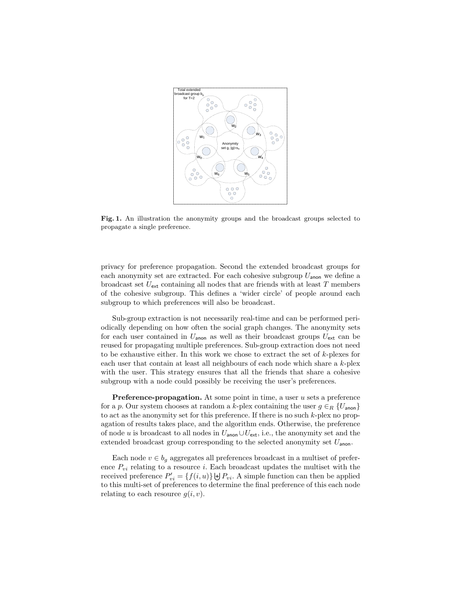

Fig. 1. An illustration the anonymity groups and the broadcast groups selected to propagate a single preference.

privacy for preference propagation. Second the extended broadcast groups for each anonymity set are extracted. For each cohesive subgroup  $U_{\text{anon}}$  we define a broadcast set  $U_{\text{ext}}$  containing all nodes that are friends with at least T members of the cohesive subgroup. This defines a 'wider circle' of people around each subgroup to which preferences will also be broadcast.

Sub-group extraction is not necessarily real-time and can be performed periodically depending on how often the social graph changes. The anonymity sets for each user contained in  $U_{\text{anon}}$  as well as their broadcast groups  $U_{\text{ext}}$  can be reused for propagating multiple preferences. Sub-group extraction does not need to be exhaustive either. In this work we chose to extract the set of k-plexes for each user that contain at least all neighbours of each node which share a k-plex with the user. This strategy ensures that all the friends that share a cohesive subgroup with a node could possibly be receiving the user's preferences.

**Preference-propagation.** At some point in time, a user  $u$  sets a preference for a p. Our system chooses at random a k-plex containing the user  $g \in_R \{U_{\text{anon}}\}$ to act as the anonymity set for this preference. If there is no such  $k$ -plex no propagation of results takes place, and the algorithm ends. Otherwise, the preference of node u is broadcast to all nodes in  $U_{\text{anon}} \cup U_{\text{ext}}$ , i.e., the anonymity set and the extended broadcast group corresponding to the selected anonymity set  $U_{\text{anon}}$ .

Each node  $v \in b_q$  aggregates all preferences broadcast in a multiset of preference  $P_{vi}$  relating to a resource *i*. Each broadcast updates the multiset with the received preference  $P'_{vi} = \{f(i, u)\} \cup P_{vi}$ . A simple function can then be applied to this multi-set of preferences to determine the final preference of this each node relating to each resource  $q(i, v)$ .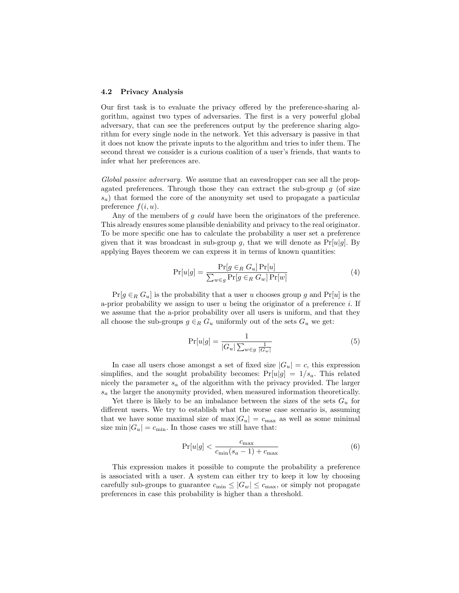#### 4.2 Privacy Analysis

Our first task is to evaluate the privacy offered by the preference-sharing algorithm, against two types of adversaries. The first is a very powerful global adversary, that can see the preferences output by the preference sharing algorithm for every single node in the network. Yet this adversary is passive in that it does not know the private inputs to the algorithm and tries to infer them. The second threat we consider is a curious coalition of a user's friends, that wants to infer what her preferences are.

Global passive adversary. We assume that an eavesdropper can see all the propagated preferences. Through those they can extract the sub-group  $g$  (of size  $s_a$ ) that formed the core of the anonymity set used to propagate a particular preference  $f(i, u)$ .

Any of the members of q could have been the originators of the preference. This already ensures some plausible deniability and privacy to the real originator. To be more specific one has to calculate the probability a user set a preference given that it was broadcast in sub-group g, that we will denote as  $Pr[u|g]$ . By applying Bayes theorem we can express it in terms of known quantities:

$$
\Pr[u|g] = \frac{\Pr[g \in_R G_u] \Pr[u]}{\sum_{w \in g} \Pr[g \in_R G_w] \Pr[w]} \tag{4}
$$

 $Pr[g \in_R G_u]$  is the probability that a user u chooses group g and  $Pr[u]$  is the a-prior probability we assign to user  $u$  being the originator of a preference  $i$ . If we assume that the a-prior probability over all users is uniform, and that they all choose the sub-groups  $g \in_R G_u$  uniformly out of the sets  $G_u$  we get:

$$
\Pr[u|g] = \frac{1}{|G_u| \sum_{w \in g} \frac{1}{|G_w|}}\tag{5}
$$

In case all users chose amongst a set of fixed size  $|G_u| = c$ , this expression simplifies, and the sought probability becomes:  $Pr[u|g] = 1/s_a$ . This related nicely the parameter  $s_a$  of the algorithm with the privacy provided. The larger  $s_a$  the larger the anonymity provided, when measured information theoretically.

Yet there is likely to be an imbalance between the sizes of the sets  $G_u$  for different users. We try to establish what the worse case scenario is, assuming that we have some maximal size of max  $|G_u| = c_{\text{max}}$  as well as some minimal size min  $|G_u| = c_{\text{min}}$ . In those cases we still have that:

$$
\Pr[u|g] < \frac{c_{\max}}{c_{\min}(s_a - 1) + c_{\max}}\tag{6}
$$

This expression makes it possible to compute the probability a preference is associated with a user. A system can either try to keep it low by choosing carefully sub-groups to guarantee  $c_{\min} \leq |G_w| \leq c_{\max}$ , or simply not propagate preferences in case this probability is higher than a threshold.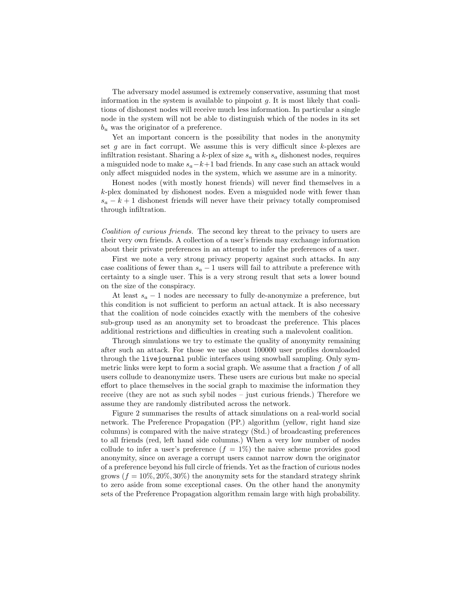The adversary model assumed is extremely conservative, assuming that most information in the system is available to pinpoint  $q$ . It is most likely that coalitions of dishonest nodes will receive much less information. In particular a single node in the system will not be able to distinguish which of the nodes in its set  $b<sub>u</sub>$  was the originator of a preference.

Yet an important concern is the possibility that nodes in the anonymity set  $g$  are in fact corrupt. We assume this is very difficult since  $k$ -plexes are infiltration resistant. Sharing a k-plex of size  $s_a$  with  $s_a$  dishonest nodes, requires a misguided node to make  $s_a-k+1$  bad friends. In any case such an attack would only affect misguided nodes in the system, which we assume are in a minority.

Honest nodes (with mostly honest friends) will never find themselves in a k-plex dominated by dishonest nodes. Even a misguided node with fewer than  $s_a - k + 1$  dishonest friends will never have their privacy totally compromised through infiltration.

Coalition of curious friends. The second key threat to the privacy to users are their very own friends. A collection of a user's friends may exchange information about their private preferences in an attempt to infer the preferences of a user.

First we note a very strong privacy property against such attacks. In any case coalitions of fewer than  $s_a - 1$  users will fail to attribute a preference with certainty to a single user. This is a very strong result that sets a lower bound on the size of the conspiracy.

At least  $s_a - 1$  nodes are necessary to fully de-anonymize a preference, but this condition is not sufficient to perform an actual attack. It is also necessary that the coalition of node coincides exactly with the members of the cohesive sub-group used as an anonymity set to broadcast the preference. This places additional restrictions and difficulties in creating such a malevolent coalition.

Through simulations we try to estimate the quality of anonymity remaining after such an attack. For those we use about 100000 user profiles downloaded through the livejournal public interfaces using snowball sampling. Only symmetric links were kept to form a social graph. We assume that a fraction f of all users collude to deanonymize users. These users are curious but make no special effort to place themselves in the social graph to maximise the information they receive (they are not as such sybil nodes – just curious friends.) Therefore we assume they are randomly distributed across the network.

Figure 2 summarises the results of attack simulations on a real-world social network. The Preference Propagation (PP.) algorithm (yellow, right hand size columns) is compared with the naive strategy (Std.) of broadcasting preferences to all friends (red, left hand side columns.) When a very low number of nodes collude to infer a user's preference  $(f = 1\%)$  the naive scheme provides good anonymity, since on average a corrupt users cannot narrow down the originator of a preference beyond his full circle of friends. Yet as the fraction of curious nodes grows ( $f = 10\%, 20\%, 30\%$ ) the anonymity sets for the standard strategy shrink to zero aside from some exceptional cases. On the other hand the anonymity sets of the Preference Propagation algorithm remain large with high probability.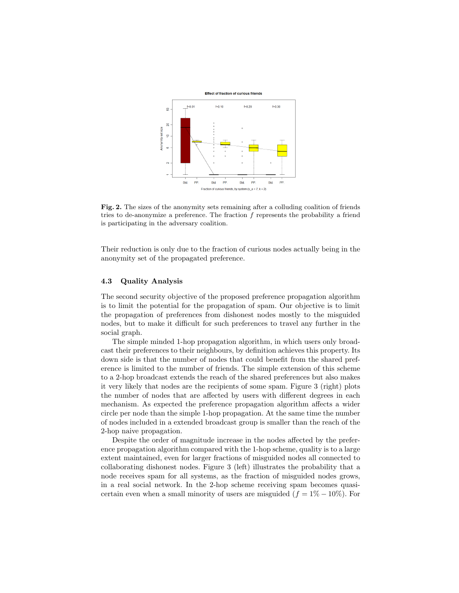

Fig. 2. The sizes of the anonymity sets remaining after a colluding coalition of friends tries to de-anonymize a preference. The fraction f represents the probability a friend is participating in the adversary coalition.

Their reduction is only due to the fraction of curious nodes actually being in the anonymity set of the propagated preference.

## 4.3 Quality Analysis

The second security objective of the proposed preference propagation algorithm is to limit the potential for the propagation of spam. Our objective is to limit the propagation of preferences from dishonest nodes mostly to the misguided nodes, but to make it difficult for such preferences to travel any further in the social graph.

The simple minded 1-hop propagation algorithm, in which users only broadcast their preferences to their neighbours, by definition achieves this property. Its down side is that the number of nodes that could benefit from the shared preference is limited to the number of friends. The simple extension of this scheme to a 2-hop broadcast extends the reach of the shared preferences but also makes it very likely that nodes are the recipients of some spam. Figure 3 (right) plots the number of nodes that are affected by users with different degrees in each mechanism. As expected the preference propagation algorithm affects a wider circle per node than the simple 1-hop propagation. At the same time the number of nodes included in a extended broadcast group is smaller than the reach of the 2-hop naive propagation.

Despite the order of magnitude increase in the nodes affected by the preference propagation algorithm compared with the 1-hop scheme, quality is to a large extent maintained, even for larger fractions of misguided nodes all connected to collaborating dishonest nodes. Figure 3 (left) illustrates the probability that a node receives spam for all systems, as the fraction of misguided nodes grows, in a real social network. In the 2-hop scheme receiving spam becomes quasicertain even when a small minority of users are misguided ( $f = 1\% - 10\%$ ). For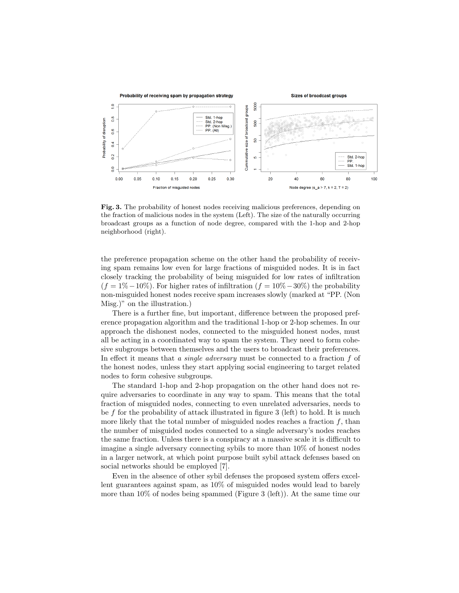

Fig. 3. The probability of honest nodes receiving malicious preferences, depending on the fraction of malicious nodes in the system (Left). The size of the naturally occurring broadcast groups as a function of node degree, compared with the 1-hop and 2-hop neighborhood (right).

the preference propagation scheme on the other hand the probability of receiving spam remains low even for large fractions of misguided nodes. It is in fact closely tracking the probability of being misguided for low rates of infiltration  $(f = 1\% - 10\%)$ . For higher rates of infiltration  $(f = 10\% - 30\%)$  the probability non-misguided honest nodes receive spam increases slowly (marked at "PP. (Non Misg.)" on the illustration.)

There is a further fine, but important, difference between the proposed preference propagation algorithm and the traditional 1-hop or 2-hop schemes. In our approach the dishonest nodes, connected to the misguided honest nodes, must all be acting in a coordinated way to spam the system. They need to form cohesive subgroups between themselves and the users to broadcast their preferences. In effect it means that a single adversary must be connected to a fraction  $f$  of the honest nodes, unless they start applying social engineering to target related nodes to form cohesive subgroups.

The standard 1-hop and 2-hop propagation on the other hand does not require adversaries to coordinate in any way to spam. This means that the total fraction of misguided nodes, connecting to even unrelated adversaries, needs to be f for the probability of attack illustrated in figure 3 (left) to hold. It is much more likely that the total number of misguided nodes reaches a fraction  $f$ , than the number of misguided nodes connected to a single adversary's nodes reaches the same fraction. Unless there is a conspiracy at a massive scale it is difficult to imagine a single adversary connecting sybils to more than 10% of honest nodes in a larger network, at which point purpose built sybil attack defenses based on social networks should be employed [7].

Even in the absence of other sybil defenses the proposed system offers excellent guarantees against spam, as 10% of misguided nodes would lead to barely more than 10% of nodes being spammed (Figure 3 (left)). At the same time our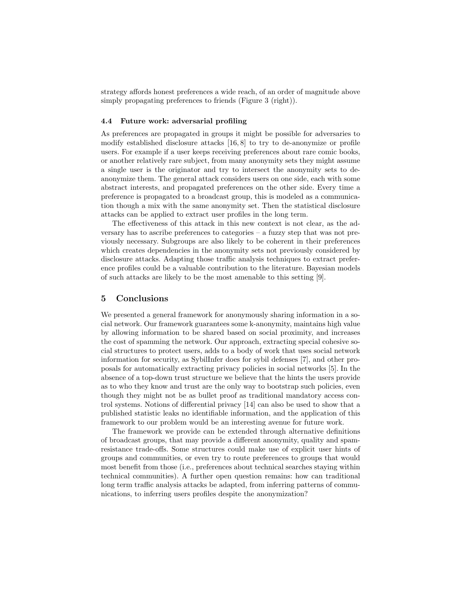strategy affords honest preferences a wide reach, of an order of magnitude above simply propagating preferences to friends (Figure 3 (right)).

#### 4.4 Future work: adversarial profiling

As preferences are propagated in groups it might be possible for adversaries to modify established disclosure attacks [16, 8] to try to de-anonymize or profile users. For example if a user keeps receiving preferences about rare comic books, or another relatively rare subject, from many anonymity sets they might assume a single user is the originator and try to intersect the anonymity sets to deanonymize them. The general attack considers users on one side, each with some abstract interests, and propagated preferences on the other side. Every time a preference is propagated to a broadcast group, this is modeled as a communication though a mix with the same anonymity set. Then the statistical disclosure attacks can be applied to extract user profiles in the long term.

The effectiveness of this attack in this new context is not clear, as the adversary has to ascribe preferences to categories – a fuzzy step that was not previously necessary. Subgroups are also likely to be coherent in their preferences which creates dependencies in the anonymity sets not previously considered by disclosure attacks. Adapting those traffic analysis techniques to extract preference profiles could be a valuable contribution to the literature. Bayesian models of such attacks are likely to be the most amenable to this setting [9].

## 5 Conclusions

We presented a general framework for anonymously sharing information in a social network. Our framework guarantees some k-anonymity, maintains high value by allowing information to be shared based on social proximity, and increases the cost of spamming the network. Our approach, extracting special cohesive social structures to protect users, adds to a body of work that uses social network information for security, as SybilInfer does for sybil defenses [7], and other proposals for automatically extracting privacy policies in social networks [5]. In the absence of a top-down trust structure we believe that the hints the users provide as to who they know and trust are the only way to bootstrap such policies, even though they might not be as bullet proof as traditional mandatory access control systems. Notions of differential privacy [14] can also be used to show that a published statistic leaks no identifiable information, and the application of this framework to our problem would be an interesting avenue for future work.

The framework we provide can be extended through alternative definitions of broadcast groups, that may provide a different anonymity, quality and spamresistance trade-offs. Some structures could make use of explicit user hints of groups and communities, or even try to route preferences to groups that would most benefit from those (i.e., preferences about technical searches staying within technical communities). A further open question remains: how can traditional long term traffic analysis attacks be adapted, from inferring patterns of communications, to inferring users profiles despite the anonymization?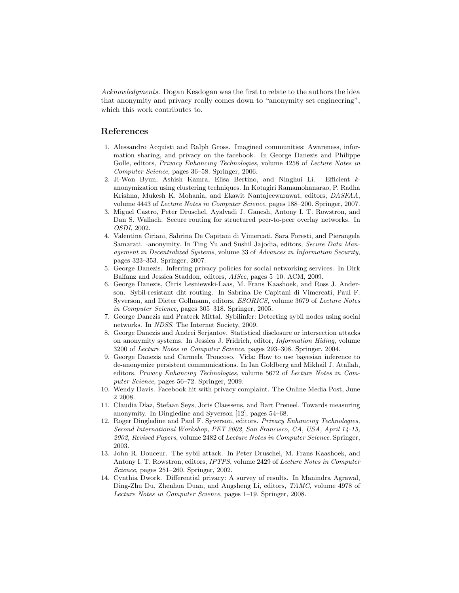Acknowledgments. Dogan Kesdogan was the first to relate to the authors the idea that anonymity and privacy really comes down to "anonymity set engineering", which this work contributes to.

## References

- 1. Alessandro Acquisti and Ralph Gross. Imagined communities: Awareness, information sharing, and privacy on the facebook. In George Danezis and Philippe Golle, editors, Privacy Enhancing Technologies, volume 4258 of Lecture Notes in Computer Science, pages 36–58. Springer, 2006.
- 2. Ji-Won Byun, Ashish Kamra, Elisa Bertino, and Ninghui Li. Efficient kanonymization using clustering techniques. In Kotagiri Ramamohanarao, P. Radha Krishna, Mukesh K. Mohania, and Ekawit Nantajeewarawat, editors, DASFAA, volume 4443 of Lecture Notes in Computer Science, pages 188–200. Springer, 2007.
- 3. Miguel Castro, Peter Druschel, Ayalvadi J. Ganesh, Antony I. T. Rowstron, and Dan S. Wallach. Secure routing for structured peer-to-peer overlay networks. In OSDI, 2002.
- 4. Valentina Ciriani, Sabrina De Capitani di Vimercati, Sara Foresti, and Pierangela Samarati. -anonymity. In Ting Yu and Sushil Jajodia, editors, Secure Data Management in Decentralized Systems, volume 33 of Advances in Information Security, pages 323–353. Springer, 2007.
- 5. George Danezis. Inferring privacy policies for social networking services. In Dirk Balfanz and Jessica Staddon, editors, AISec, pages 5–10. ACM, 2009.
- 6. George Danezis, Chris Lesniewski-Laas, M. Frans Kaashoek, and Ross J. Anderson. Sybil-resistant dht routing. In Sabrina De Capitani di Vimercati, Paul F. Syverson, and Dieter Gollmann, editors, ESORICS, volume 3679 of Lecture Notes in Computer Science, pages 305–318. Springer, 2005.
- 7. George Danezis and Prateek Mittal. Sybilinfer: Detecting sybil nodes using social networks. In NDSS. The Internet Society, 2009.
- 8. George Danezis and Andrei Serjantov. Statistical disclosure or intersection attacks on anonymity systems. In Jessica J. Fridrich, editor, Information Hiding, volume 3200 of Lecture Notes in Computer Science, pages 293–308. Springer, 2004.
- 9. George Danezis and Carmela Troncoso. Vida: How to use bayesian inference to de-anonymize persistent communications. In Ian Goldberg and Mikhail J. Atallah, editors, Privacy Enhancing Technologies, volume 5672 of Lecture Notes in Computer Science, pages 56–72. Springer, 2009.
- 10. Wendy Davis. Facebook hit with privacy complaint. The Online Media Post, June 2 2008.
- 11. Claudia D´ıaz, Stefaan Seys, Joris Claessens, and Bart Preneel. Towards measuring anonymity. In Dingledine and Syverson [12], pages 54–68.
- 12. Roger Dingledine and Paul F. Syverson, editors. Privacy Enhancing Technologies, Second International Workshop, PET 2002, San Francisco, CA, USA, April 14-15, 2002, Revised Papers, volume 2482 of Lecture Notes in Computer Science. Springer, 2003.
- 13. John R. Douceur. The sybil attack. In Peter Druschel, M. Frans Kaashoek, and Antony I. T. Rowstron, editors, IPTPS, volume 2429 of Lecture Notes in Computer Science, pages 251–260. Springer, 2002.
- 14. Cynthia Dwork. Differential privacy: A survey of results. In Manindra Agrawal, Ding-Zhu Du, Zhenhua Duan, and Angsheng Li, editors, TAMC, volume 4978 of Lecture Notes in Computer Science, pages 1–19. Springer, 2008.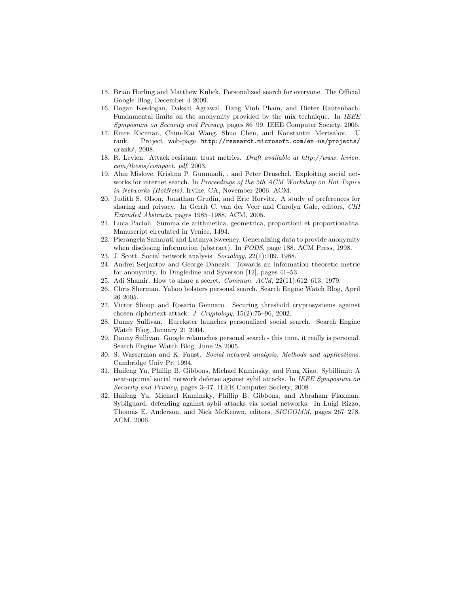- 15. Brian Horling and Matthew Kulick. Personalized search for everyone. The Official Google Blog, December 4 2009.
- 16. Dogan Kesdogan, Dakshi Agrawal, Dang Vinh Pham, and Dieter Rautenbach. Fundamental limits on the anonymity provided by the mix technique. In IEEE Symposium on Security and Privacy, pages 86–99. IEEE Computer Society, 2006.
- 17. Emre Kiciman, Chun-Kai Wang, Shuo Chen, and Konstantin Mertsalov. U rank. Project web-page http://research.microsoft.com/en-us/projects/ urank/, 2008.
- 18. R. Levien. Attack resistant trust metrics. Draft available at http://www. levien. com/thesis/compact. pdf, 2003.
- 19. Alan Mislove, Krishna P. Gummadi, , and Peter Druschel. Exploiting social networks for internet search. In Proceedings of the 5th ACM Workshop on Hot Topics in Networks (HotNets), Irvine, CA, November 2006. ACM.
- 20. Judith S. Olson, Jonathan Grudin, and Eric Horvitz. A study of preferences for sharing and privacy. In Gerrit C. van der Veer and Carolyn Gale, editors, CHI Extended Abstracts, pages 1985–1988. ACM, 2005.
- 21. Luca Pacioli. Summa de arithmetica, geometrica, proportioni et proportionalita. Manuscript circulated in Venice, 1494.
- 22. Pierangela Samarati and Latanya Sweeney. Generalizing data to provide anonymity when disclosing information (abstract). In PODS, page 188. ACM Press, 1998.
- 23. J. Scott. Social network analysis. Sociology, 22(1):109, 1988.
- 24. Andrei Serjantov and George Danezis. Towards an information theoretic metric for anonymity. In Dingledine and Syverson [12], pages 41–53.
- 25. Adi Shamir. How to share a secret. Commun. ACM, 22(11):612–613, 1979.
- 26. Chris Sherman. Yahoo bolsters personal search. Search Engine Watch Blog, April 26 2005.
- 27. Victor Shoup and Rosario Gennaro. Securing threshold cryptosystems against chosen ciphertext attack. J. Cryptology, 15(2):75–96, 2002.
- 28. Danny Sullivan. Eurekster launches personalized social search. Search Engine Watch Blog, January 21 2004.
- 29. Danny Sullivan. Google relaunches personal search this time, it really is personal. Search Engine Watch Blog, June 28 2005.
- 30. S. Wasserman and K. Faust. Social network analysis: Methods and applications. Cambridge Univ Pr, 1994.
- 31. Haifeng Yu, Phillip B. Gibbons, Michael Kaminsky, and Feng Xiao. Sybillimit: A near-optimal social network defense against sybil attacks. In IEEE Symposium on Security and Privacy, pages 3–17. IEEE Computer Society, 2008.
- 32. Haifeng Yu, Michael Kaminsky, Phillip B. Gibbons, and Abraham Flaxman. Sybilguard: defending against sybil attacks via social networks. In Luigi Rizzo, Thomas E. Anderson, and Nick McKeown, editors, SIGCOMM, pages 267–278. ACM, 2006.